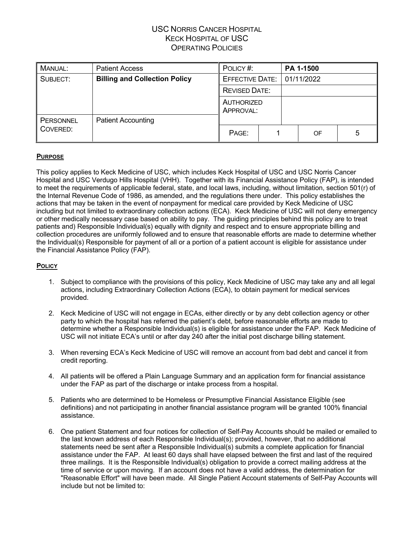| MANUAL:          | <b>Patient Access</b>                | POLICY#:                |  | PA 1-1500  |   |
|------------------|--------------------------------------|-------------------------|--|------------|---|
| SUBJECT:         | <b>Billing and Collection Policy</b> | <b>EFFECTIVE DATE:</b>  |  | 01/11/2022 |   |
|                  |                                      | <b>REVISED DATE:</b>    |  |            |   |
|                  |                                      | AUTHORIZED<br>APPROVAL: |  |            |   |
| <b>PERSONNEL</b> | <b>Patient Accounting</b>            |                         |  |            |   |
| COVERED:         |                                      | PAGE:                   |  | OF         | 5 |

### **PURPOSE**

This policy applies to Keck Medicine of USC, which includes Keck Hospital of USC and USC Norris Cancer Hospital and USC Verdugo Hills Hospital (VHH). Together with its Financial Assistance Policy (FAP), is intended to meet the requirements of applicable federal, state, and local laws, including, without limitation, section 501(r) of the Internal Revenue Code of 1986, as amended, and the regulations there under. This policy establishes the actions that may be taken in the event of nonpayment for medical care provided by Keck Medicine of USC including but not limited to extraordinary collection actions (ECA). Keck Medicine of USC will not deny emergency or other medically necessary case based on ability to pay. The guiding principles behind this policy are to treat patients and) Responsible Individual(s) equally with dignity and respect and to ensure appropriate billing and collection procedures are uniformly followed and to ensure that reasonable efforts are made to determine whether the Individual(s) Responsible for payment of all or a portion of a patient account is eligible for assistance under the Financial Assistance Policy (FAP).

#### **POLICY**

- 1. Subject to compliance with the provisions of this policy, Keck Medicine of USC may take any and all legal actions, including Extraordinary Collection Actions (ECA), to obtain payment for medical services provided.
- 2. Keck Medicine of USC will not engage in ECAs, either directly or by any debt collection agency or other party to which the hospital has referred the patient's debt, before reasonable efforts are made to determine whether a Responsible Individual(s) is eligible for assistance under the FAP. Keck Medicine of USC will not initiate ECA's until or after day 240 after the initial post discharge billing statement.
- 3. When reversing ECA's Keck Medicine of USC will remove an account from bad debt and cancel it from credit reporting.
- 4. All patients will be offered a Plain Language Summary and an application form for financial assistance under the FAP as part of the discharge or intake process from a hospital.
- 5. Patients who are determined to be Homeless or Presumptive Financial Assistance Eligible (see definitions) and not participating in another financial assistance program will be granted 100% financial assistance.
- 6. One patient Statement and four notices for collection of Self-Pay Accounts should be mailed or emailed to the last known address of each Responsible Individual(s); provided, however, that no additional statements need be sent after a Responsible Individual(s) submits a complete application for financial assistance under the FAP. At least 60 days shall have elapsed between the first and last of the required three mailings. It is the Responsible Individual(s) obligation to provide a correct mailing address at the time of service or upon moving. If an account does not have a valid address, the determination for "Reasonable Effort" will have been made. All Single Patient Account statements of Self-Pay Accounts will include but not be limited to: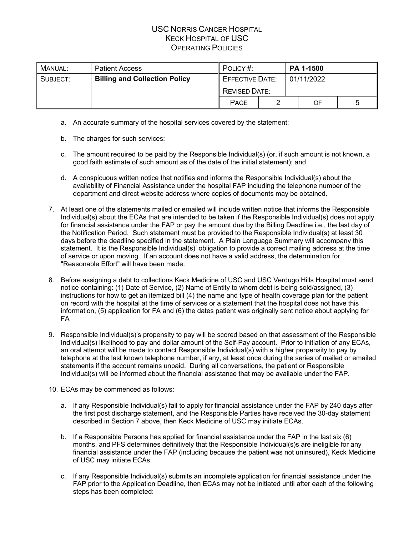| MANUAL:  | <b>Patient Access</b>                | POLICY#:               | <b>PA 1-1500</b> |            |    |  |
|----------|--------------------------------------|------------------------|------------------|------------|----|--|
| SUBJECT: | <b>Billing and Collection Policy</b> | <b>EFFECTIVE DATE:</b> |                  | 01/11/2022 |    |  |
|          |                                      | <b>REVISED DATE:</b>   |                  |            |    |  |
|          |                                      | <b>PAGE</b>            |                  |            | OF |  |

- a. An accurate summary of the hospital services covered by the statement;
- b. The charges for such services;
- c. The amount required to be paid by the Responsible Individual(s) (or, if such amount is not known, a good faith estimate of such amount as of the date of the initial statement); and
- d. A conspicuous written notice that notifies and informs the Responsible Individual(s) about the availability of Financial Assistance under the hospital FAP including the telephone number of the department and direct website address where copies of documents may be obtained.
- 7. At least one of the statements mailed or emailed will include written notice that informs the Responsible Individual(s) about the ECAs that are intended to be taken if the Responsible Individual(s) does not apply for financial assistance under the FAP or pay the amount due by the Billing Deadline i.e., the last day of the Notification Period. Such statement must be provided to the Responsible Individual(s) at least 30 days before the deadline specified in the statement. A Plain Language Summary will accompany this statement. It is the Responsible Individual(s)' obligation to provide a correct mailing address at the time of service or upon moving. If an account does not have a valid address, the determination for "Reasonable Effort" will have been made.
- 8. Before assigning a debt to collections Keck Medicine of USC and USC Verdugo Hills Hospital must send notice containing: (1) Date of Service, (2) Name of Entity to whom debt is being sold/assigned, (3) instructions for how to get an itemized bill (4) the name and type of health coverage plan for the patient on record with the hospital at the time of services or a statement that the hospital does not have this information, (5) application for FA and (6) the dates patient was originally sent notice about applying for FA
- 9. Responsible Individual(s)'s propensity to pay will be scored based on that assessment of the Responsible Individual(s) likelihood to pay and dollar amount of the Self-Pay account. Prior to initiation of any ECAs, an oral attempt will be made to contact Responsible Individual(s) with a higher propensity to pay by telephone at the last known telephone number, if any, at least once during the series of mailed or emailed statements if the account remains unpaid. During all conversations, the patient or Responsible Individual(s) will be informed about the financial assistance that may be available under the FAP.
- 10. ECAs may be commenced as follows:
	- a. If any Responsible Individual(s) fail to apply for financial assistance under the FAP by 240 days after the first post discharge statement, and the Responsible Parties have received the 30-day statement described in Section 7 above, then Keck Medicine of USC may initiate ECAs.
	- b. If a Responsible Persons has applied for financial assistance under the FAP in the last six (6) months, and PFS determines definitively that the Responsible Individual(s)s are ineligible for any financial assistance under the FAP (including because the patient was not uninsured), Keck Medicine of USC may initiate ECAs.
	- c. If any Responsible Individual(s) submits an incomplete application for financial assistance under the FAP prior to the Application Deadline, then ECAs may not be initiated until after each of the following steps has been completed: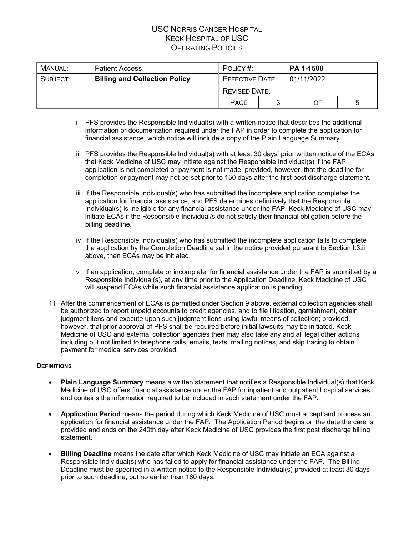| <b>MANUAL:</b> | <b>Patient Access</b>                | POLICY#:               | PA 1-1500 |            |    |  |
|----------------|--------------------------------------|------------------------|-----------|------------|----|--|
| SUBJECT:       | <b>Billing and Collection Policy</b> | <b>EFFECTIVE DATE:</b> |           | 01/11/2022 |    |  |
|                |                                      | <b>REVISED DATE:</b>   |           |            |    |  |
|                |                                      | <b>PAGE</b>            |           |            | OF |  |

- i PFS provides the Responsible Individual(s) with a written notice that describes the additional information or documentation required under the FAP in order to complete the application for financial assistance, which notice will include a copy of the Plain Language Summary.
- ii PFS provides the Responsible Individual(s) with at least 30 days' prior written notice of the ECAs that Keck Medicine of USC may initiate against the Responsible Individual(s) if the FAP application is not completed or payment is not made; provided, however, that the deadline for completion or payment may not be set prior to 150 days after the first post discharge statement.
- iii If the Responsible Individual(s) who has submitted the incomplete application completes the application for financial assistance, and PFS determines definitively that the Responsible Individual(s) is ineligible for any financial assistance under the FAP, Keck Medicine of USC may initiate ECAs if the Responsible Individual/s do not satisfy their financial obligation before the billing deadline.
- iv If the Responsible Individual(s) who has submitted the incomplete application fails to complete the application by the Completion Deadline set in the notice provided pursuant to Section I.3.ii above, then ECAs may be initiated.
- v If an application, complete or incomplete, for financial assistance under the FAP is submitted by a Responsible Individual(s), at any time prior to the Application Deadline, Keck Medicine of USC will suspend ECAs while such financial assistance application is pending.
- 11. After the commencement of ECAs is permitted under Section 9 above, external collection agencies shall be authorized to report unpaid accounts to credit agencies, and to file litigation, garnishment, obtain judgment liens and execute upon such judgment liens using lawful means of collection; provided, however, that prior approval of PFS shall be required before initial lawsuits may be initiated. Keck Medicine of USC and external collection agencies then may also take any and all legal other actions including but not limited to telephone calls, emails, texts, mailing notices, and skip tracing to obtain payment for medical services provided.

### **DEFINITIONS**

- **Plain Language Summary** means a written statement that notifies a Responsible Individual(s) that Keck Medicine of USC offers financial assistance under the FAP for inpatient and outpatient hospital services and contains the information required to be included in such statement under the FAP.
- **Application Period** means the period during which Keck Medicine of USC must accept and process an application for financial assistance under the FAP. The Application Period begins on the date the care is provided and ends on the 240th day after Keck Medicine of USC provides the first post discharge billing statement.
- **Billing Deadline** means the date after which Keck Medicine of USC may initiate an ECA against a Responsible Individual(s) who has failed to apply for financial assistance under the FAP. The Billing Deadline must be specified in a written notice to the Responsible Individual(s) provided at least 30 days prior to such deadline, but no earlier than 180 days.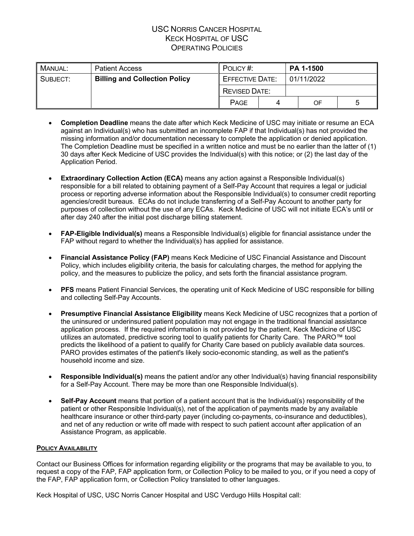| , Manual: | <b>Patient Access</b>                | POLICY#:               | PA 1-1500 |            |    |  |  |
|-----------|--------------------------------------|------------------------|-----------|------------|----|--|--|
| SUBJECT:  | <b>Billing and Collection Policy</b> | <b>EFFECTIVE DATE:</b> |           | 01/11/2022 |    |  |  |
|           |                                      | <b>REVISED DATE:</b>   |           |            |    |  |  |
|           |                                      | <b>PAGE</b>            |           |            | OF |  |  |

- **Completion Deadline** means the date after which Keck Medicine of USC may initiate or resume an ECA against an Individual(s) who has submitted an incomplete FAP if that Individual(s) has not provided the missing information and/or documentation necessary to complete the application or denied application. The Completion Deadline must be specified in a written notice and must be no earlier than the latter of (1) 30 days after Keck Medicine of USC provides the Individual(s) with this notice; or (2) the last day of the Application Period.
- **Extraordinary Collection Action (ECA)** means any action against a Responsible Individual(s) responsible for a bill related to obtaining payment of a Self-Pay Account that requires a legal or judicial process or reporting adverse information about the Responsible Individual(s) to consumer credit reporting agencies/credit bureaus. ECAs do not include transferring of a Self-Pay Account to another party for purposes of collection without the use of any ECAs. Keck Medicine of USC will not initiate ECA's until or after day 240 after the initial post discharge billing statement.
- **FAP-Eligible Individual(s)** means a Responsible Individual(s) eligible for financial assistance under the FAP without regard to whether the Individual(s) has applied for assistance.
- **Financial Assistance Policy (FAP)** means Keck Medicine of USC Financial Assistance and Discount Policy, which includes eligibility criteria, the basis for calculating charges, the method for applying the policy, and the measures to publicize the policy, and sets forth the financial assistance program.
- **PFS** means Patient Financial Services, the operating unit of Keck Medicine of USC responsible for billing and collecting Self-Pay Accounts.
- **Presumptive Financial Assistance Eligibility** means Keck Medicine of USC recognizes that a portion of the uninsured or underinsured patient population may not engage in the traditional financial assistance application process. If the required information is not provided by the patient, Keck Medicine of USC utilizes an automated, predictive scoring tool to qualify patients for Charity Care. The PARO™ tool predicts the likelihood of a patient to qualify for Charity Care based on publicly available data sources. PARO provides estimates of the patient's likely socio-economic standing, as well as the patient's household income and size.
- **Responsible Individual(s)** means the patient and/or any other Individual(s) having financial responsibility for a Self-Pay Account. There may be more than one Responsible Individual(s).
- **Self-Pay Account** means that portion of a patient account that is the Individual(s) responsibility of the patient or other Responsible Individual(s), net of the application of payments made by any available healthcare insurance or other third-party payer (including co-payments, co-insurance and deductibles), and net of any reduction or write off made with respect to such patient account after application of an Assistance Program, as applicable.

### **POLICY AVAILABILITY**

Contact our Business Offices for information regarding eligibility or the programs that may be available to you, to request a copy of the FAP, FAP application form, or Collection Policy to be mailed to you, or if you need a copy of the FAP, FAP application form, or Collection Policy translated to other languages.

Keck Hospital of USC, USC Norris Cancer Hospital and USC Verdugo Hills Hospital call: